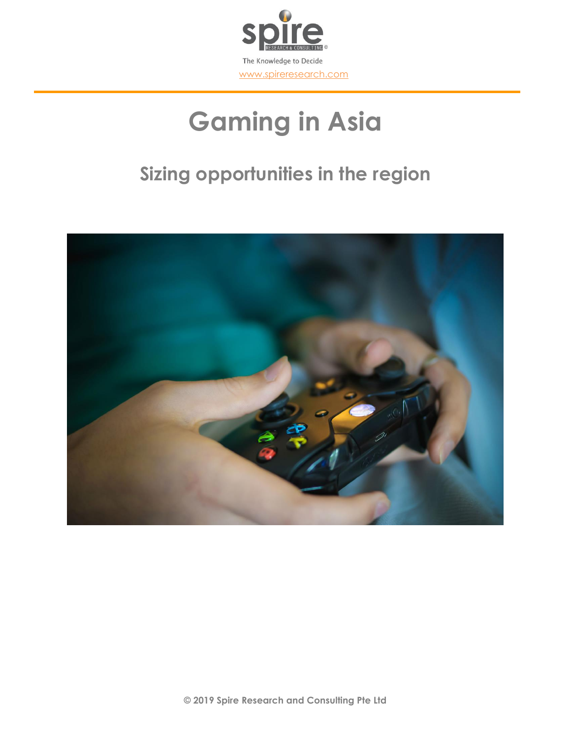

# **Gaming in Asia**

## **Sizing opportunities in the region**

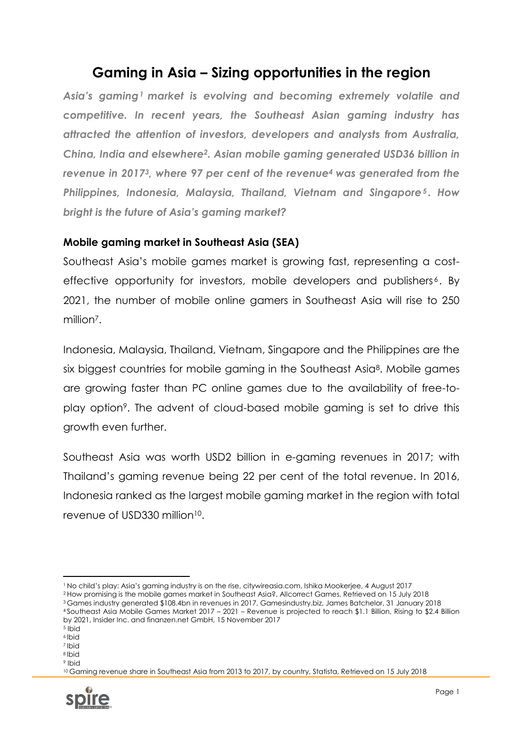### **Gaming in Asia – Sizing opportunities in the region**

*Asia's gaming<sup>1</sup> market is evolving and becoming extremely volatile and competitive. In recent years, the Southeast Asian gaming industry has attracted the attention of investors, developers and analysts from Australia, China, India and elsewhere2. Asian mobile gaming generated USD36 billion in revenue in 20173, where 97 per cent of the revenue<sup>4</sup> was generated from the Philippines, Indonesia, Malaysia, Thailand, Vietnam and Singapore<sup>5</sup> . How bright is the future of Asia's gaming market?*

### **Mobile gaming market in Southeast Asia (SEA)**

Southeast Asia's mobile games market is growing fast, representing a costeffective opportunity for investors, mobile developers and publishers<sup>6</sup>. By 2021, the number of mobile online gamers in Southeast Asia will rise to 250 million<sup>7</sup>.

Indonesia, Malaysia, Thailand, Vietnam, Singapore and the Philippines are the six biggest countries for mobile gaming in the Southeast Asia<sup>8</sup>. Mobile games are growing faster than PC online games due to the availability of free-toplay option9. The advent of cloud-based mobile gaming is set to drive this growth even further.

Southeast Asia was worth USD2 billion in e-gaming revenues in 2017; with Thailand's gaming revenue being 22 per cent of the total revenue. In 2016, Indonesia ranked as the largest mobile gaming market in the region with total revenue of USD330 million10.

<sup>2</sup> How promising is the mobile games market in Southeast Asia?, Allcorrect Games, Retrieved on 15 July 2018

<sup>7</sup> Ibid <sup>8</sup> Ibid

<sup>9</sup> Ibid

<sup>10</sup> Gaming revenue share in Southeast Asia from 2013 to 2017, by country, Statista, Retrieved on 15 July 2018



**<sup>.</sup>** <sup>1</sup> No child's play: Asia's gaming industry is on the rise, citywireasia.com, Ishika Mookerjee, 4 August 2017

<sup>3</sup> Games industry generated \$108.4bn in revenues in 2017, Gamesindustry.biz, James Batchelor, 31 January 2018 <sup>4</sup> Southeast Asia Mobile Games Market 2017 – 2021 – Revenue is projected to reach \$1.1 Billion, Rising to \$2.4 Billion by 2021, Insider Inc. and finanzen.net GmbH, 15 November 2017

 $5$  Ibid

<sup>6</sup> Ibid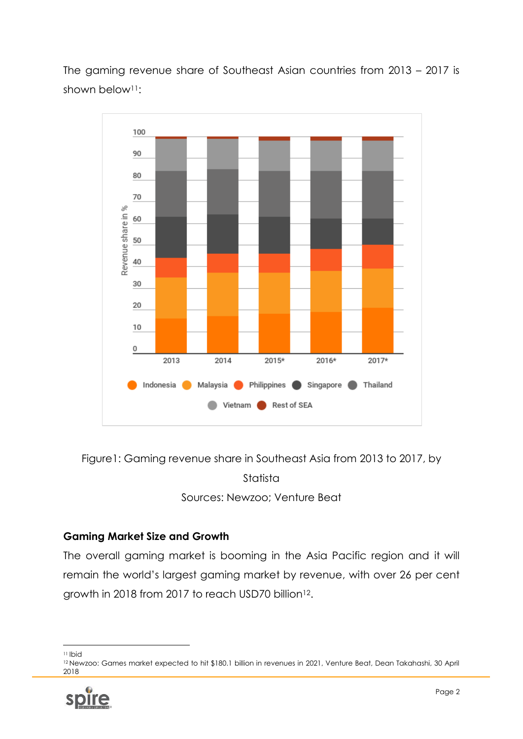The gaming revenue share of Southeast Asian countries from 2013 – 2017 is shown below<sup>11</sup>:



Figure1: Gaming revenue share in Southeast Asia from 2013 to 2017, by

Statista

Sources: Newzoo; Venture Beat

### **Gaming Market Size and Growth**

The overall gaming market is booming in the Asia Pacific region and it will remain the world's largest gaming market by revenue, with over 26 per cent growth in 2018 from 2017 to reach USD70 billion<sup>12</sup>.

<sup>12</sup> Newzoo: Games market expected to hit \$180.1 billion in revenues in 2021, Venture Beat, Dean Takahashi, 30 April 2018



**<sup>.</sup>** <sup>11</sup> Ibid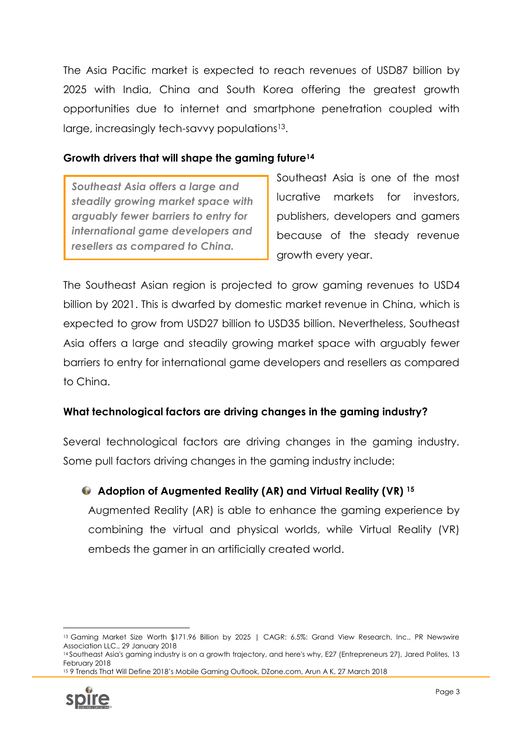The Asia Pacific market is expected to reach revenues of USD87 billion by 2025 with India, China and South Korea offering the greatest growth opportunities due to internet and smartphone penetration coupled with large, increasingly tech-savvy populations<sup>13</sup>.

### **Growth drivers that will shape the gaming future<sup>14</sup>**

*Southeast Asia offers a large and steadily growing market space with arguably fewer barriers to entry for international game developers and resellers as compared to China.*

Southeast Asia is one of the most lucrative markets for investors, publishers, developers and gamers because of the steady revenue growth every year.

The Southeast Asian region is projected to grow gaming revenues to USD4 billion by 2021. This is dwarfed by domestic market revenue in China, which is expected to grow from USD27 billion to USD35 billion. Nevertheless, Southeast Asia offers a large and steadily growing market space with arguably fewer barriers to entry for international game developers and resellers as compared to China.

### **What technological factors are driving changes in the gaming industry?**

Several technological factors are driving changes in the gaming industry. Some pull factors driving changes in the gaming industry include:

**Adoption of Augmented Reality (AR) and Virtual Reality (VR) <sup>15</sup>**

Augmented Reality (AR) is able to enhance the gaming experience by combining the virtual and physical worlds, while Virtual Reality (VR) embeds the gamer in an artificially created world.

<sup>14</sup> Southeast Asia's gaming industry is on a growth trajectory, and here's why, E27 (Entrepreneurs 27), Jared Polites, 13 February 2018 <sup>15</sup> 9 Trends That Will Define 2018's Mobile Gaming Outlook, DZone.com, Arun A K, 27 March 2018



**<sup>.</sup>** 13 Gaming Market Size Worth \$171.96 Billion by 2025 | CAGR: 6.5%: Grand View Research, Inc., PR Newswire Association LLC., 29 January 2018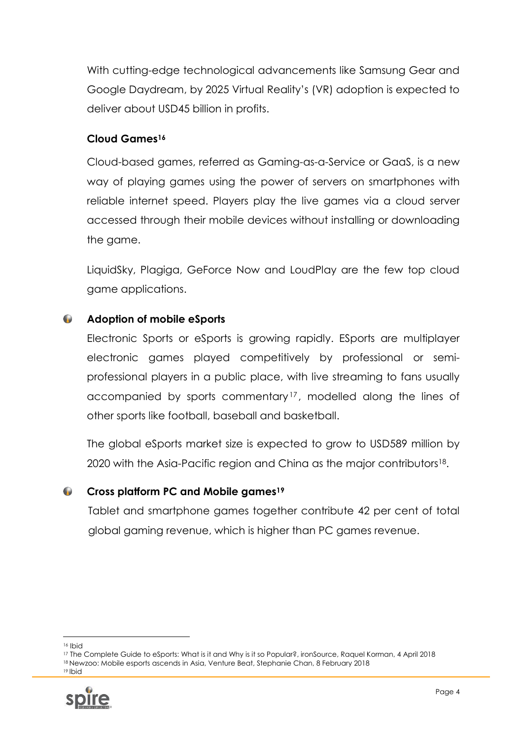With cutting-edge technological advancements like Samsung Gear and Google Daydream, by 2025 Virtual Reality's (VR) adoption is expected to deliver about USD45 billion in profits.

### **Cloud Games<sup>16</sup>**

Cloud-based games, referred as Gaming-as-a-Service or GaaS, is a new way of playing games using the power of servers on smartphones with reliable internet speed. Players play the live games via a cloud server accessed through their mobile devices without installing or downloading the game.

LiquidSky, Plagiga, GeForce Now and LoudPlay are the few top cloud game applications.

#### $\sqrt{2}$ **Adoption of mobile eSports**

Electronic Sports or eSports is growing rapidly. ESports are multiplayer electronic games played competitively by professional or semiprofessional players in a public place, with live streaming to fans usually accompanied by sports commentary <sup>17</sup> , modelled along the lines of other sports like football, baseball and basketball.

The global eSports market size is expected to grow to USD589 million by 2020 with the Asia-Pacific region and China as the major contributors18.

#### $\bullet$ **Cross platform PC and Mobile games<sup>19</sup>**

Tablet and smartphone games together contribute 42 per cent of total global gaming revenue, which is higher than PC games revenue.

<sup>19</sup> Ibid



**<sup>.</sup>** <sup>16</sup> Ibid

<sup>17</sup> The Complete Guide to eSports: What is it and Why is it so Popular?, ironSource, Raquel Korman, 4 April 2018 <sup>18</sup> Newzoo: Mobile esports ascends in Asia, Venture Beat, Stephanie Chan, 8 February 2018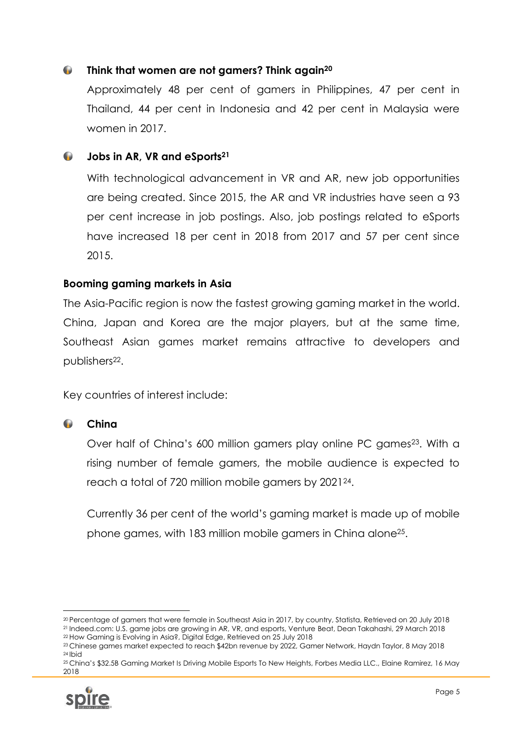#### $\bullet$ **Think that women are not gamers? Think again<sup>20</sup>**

Approximately 48 per cent of gamers in Philippines, 47 per cent in Thailand, 44 per cent in Indonesia and 42 per cent in Malaysia were women in 2017.

#### **Jobs in AR, VR and eSports<sup>21</sup>**

With technological advancement in VR and AR, new job opportunities are being created. Since 2015, the AR and VR industries have seen a 93 per cent increase in job postings. Also, job postings related to eSports have increased 18 per cent in 2018 from 2017 and 57 per cent since 2015.

### **Booming gaming markets in Asia**

The Asia-Pacific region is now the fastest growing gaming market in the world. China, Japan and Korea are the major players, but at the same time, Southeast Asian games market remains attractive to developers and publishers<sup>22</sup>.

Key countries of interest include:

#### $\bullet$ **China**

Over half of China's 600 million gamers play online PC games<sup>23</sup>. With a rising number of female gamers, the mobile audience is expected to reach a total of 720 million mobile gamers by 202124.

Currently 36 per cent of the world's gaming market is made up of mobile phone games, with 183 million mobile gamers in China alone25.

<sup>25</sup> China's \$32.5B Gaming Market Is Driving Mobile Esports To New Heights, Forbes Media LLC., Elaine Ramirez, 16 May 2018



1

<sup>20</sup> Percentage of gamers that were female in Southeast Asia in 2017, by country, Statista, Retrieved on 20 July 2018 <sup>21</sup> Indeed.com: U.S. game jobs are growing in AR, VR, and esports, Venture Beat, Dean Takahashi, 29 March 2018 <sup>22</sup> How Gaming is Evolving in Asia?, Digital Edge, Retrieved on 25 July 2018

<sup>23</sup> Chinese games market expected to reach \$42bn revenue by 2022, Gamer Network, Haydn Taylor, 8 May 2018 <sup>24</sup> Ibid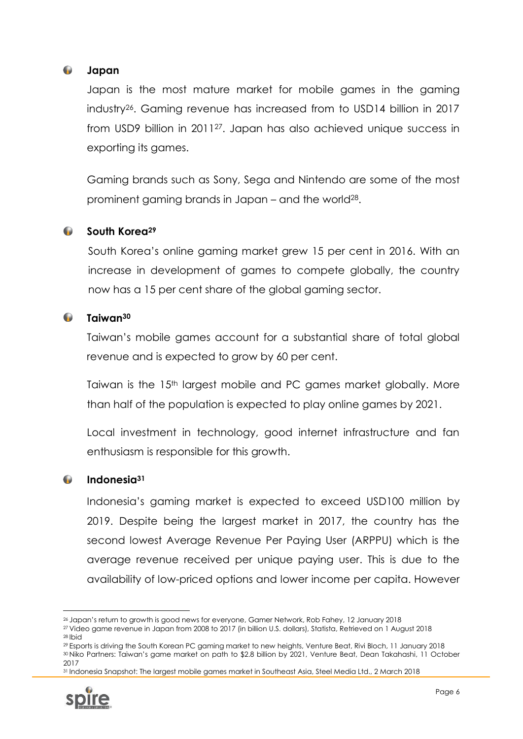#### $\sqrt{2}$ **Japan**

Japan is the most mature market for mobile games in the gaming industry26. Gaming revenue has increased from to USD14 billion in 2017 from USD9 billion in 201127. Japan has also achieved unique success in exporting its games.

Gaming brands such as Sony, Sega and Nintendo are some of the most prominent gaming brands in Japan – and the world28.

#### $\bullet$ **South Korea<sup>29</sup>**

South Korea's online gaming market grew 15 per cent in 2016. With an increase in development of games to compete globally, the country now has a 15 per cent share of the global gaming sector.

#### **Taiwan<sup>30</sup> Co**

Taiwan's mobile games account for a substantial share of total global revenue and is expected to grow by 60 per cent.

Taiwan is the 15<sup>th</sup> largest mobile and PC games market globally. More than half of the population is expected to play online games by 2021.

Local investment in technology, good internet infrastructure and fan enthusiasm is responsible for this growth.

#### $\sqrt{2}$ **Indonesia<sup>31</sup>**

Indonesia's gaming market is expected to exceed USD100 million by 2019. Despite being the largest market in 2017, the country has the second lowest Average Revenue Per Paying User (ARPPU) which is the average revenue received per unique paying user. This is due to the availability of low-priced options and lower income per capita. However

<sup>31</sup> Indonesia Snapshot: The largest mobile games market in Southeast Asia, Steel Media Ltd., 2 March 2018



<sup>1</sup> <sup>26</sup> Japan's return to growth is good news for everyone, Gamer Network, Rob Fahey, 12 January 2018

<sup>27</sup> Video game revenue in Japan from 2008 to 2017 (in billion U.S. dollars), Statista, Retrieved on 1 August 2018 <sup>28</sup> Ibid

<sup>29</sup> Esports is driving the South Korean PC gaming market to new heights, Venture Beat, Rivi Bloch, 11 January 2018 <sup>30</sup> Niko Partners: Taiwan's game market on path to \$2.8 billion by 2021, Venture Beat, Dean Takahashi, 11 October 2017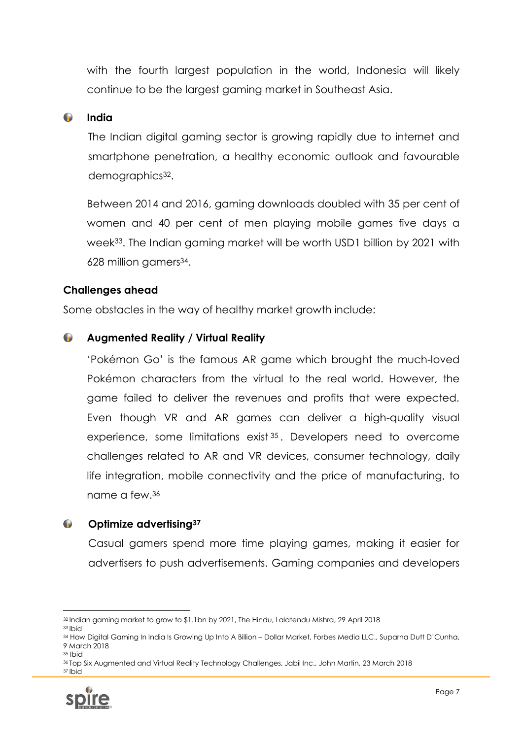with the fourth largest population in the world, Indonesia will likely continue to be the largest gaming market in Southeast Asia.

#### $\bullet$ **India**

The Indian digital gaming sector is growing rapidly due to internet and smartphone penetration, a healthy economic outlook and favourable demographics<sup>32</sup>.

Between 2014 and 2016, gaming downloads doubled with 35 per cent of women and 40 per cent of men playing mobile games five days a week<sup>33</sup>. The Indian gaming market will be worth USD1 billion by 2021 with 628 million gamers34.

### **Challenges ahead**

Some obstacles in the way of healthy market growth include:

#### $\bullet$ **Augmented Reality / Virtual Reality**

'Pokémon Go' is the famous AR game which brought the much-loved Pokémon characters from the virtual to the real world. However, the game failed to deliver the revenues and profits that were expected. Even though VR and AR games can deliver a high-quality visual experience, some limitations exist<sup>35</sup>. Developers need to overcome challenges related to AR and VR devices, consumer technology, daily life integration, mobile connectivity and the price of manufacturing, to name a few.<sup>36</sup>

#### $\bullet$ **Optimize advertising<sup>37</sup>**

Casual gamers spend more time playing games, making it easier for advertisers to push advertisements. Gaming companies and developers

<sup>36</sup> Top Six Augmented and Virtual Reality Technology Challenges, Jabil Inc., John Martin, 23 March 2018 <sup>37</sup> Ibid



<sup>1</sup> <sup>32</sup> Indian gaming market to grow to \$1.1bn by 2021, The Hindu, Lalatendu Mishra, 29 April 2018

<sup>33</sup> Ibid

<sup>34</sup> How Digital Gaming In India Is Growing Up Into A Billion – Dollar Market, Forbes Media LLC., Suparna Dutt D'Cunha, 9 March 2018

<sup>35</sup> Ibid